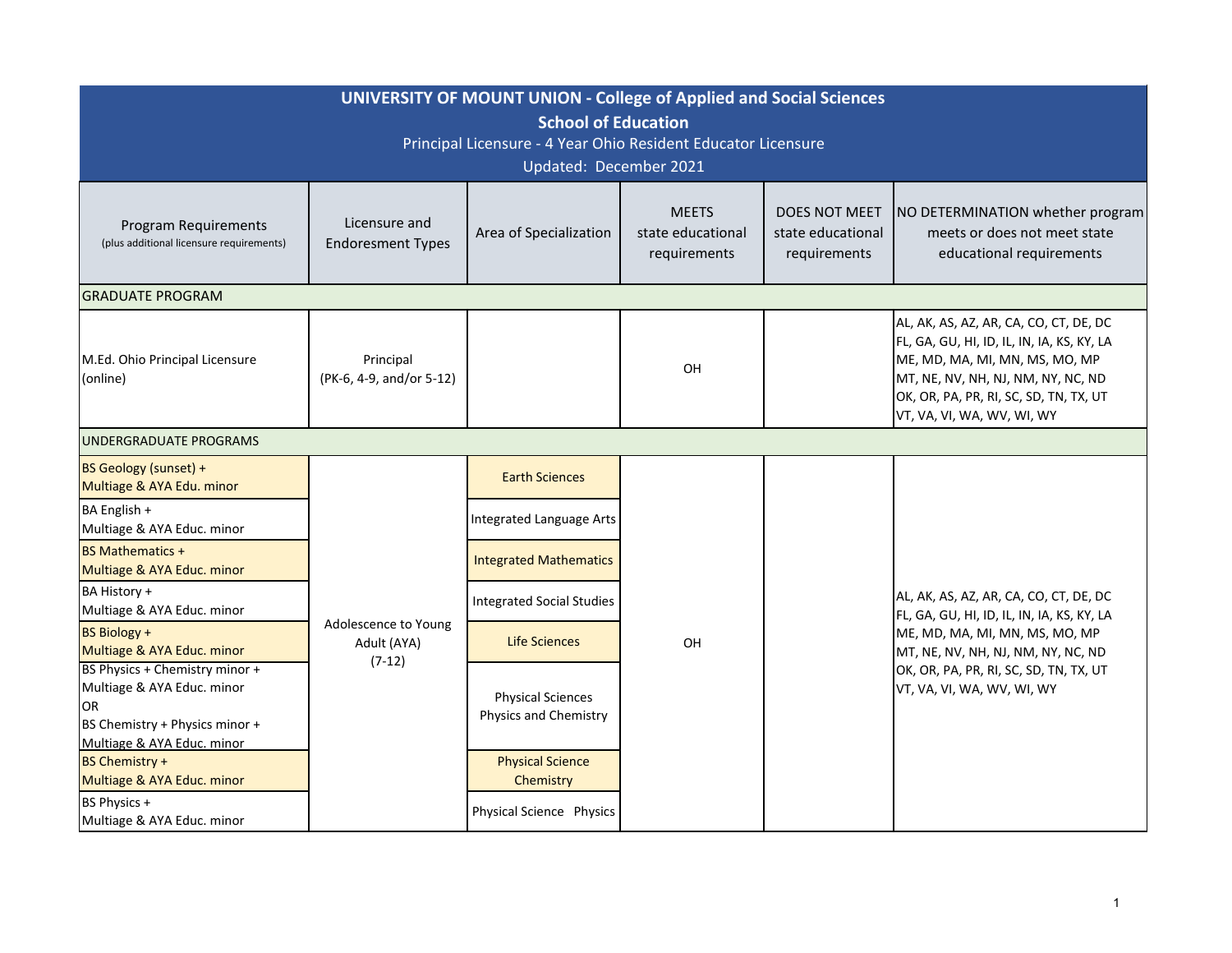| <b>UNIVERSITY OF MOUNT UNION - College of Applied and Social Sciences</b><br><b>School of Education</b><br>Principal Licensure - 4 Year Ohio Resident Educator Licensure |                                                 |                                                   |                                                   |                                                           |                                                                                                                                                                                                                                      |  |  |  |  |
|--------------------------------------------------------------------------------------------------------------------------------------------------------------------------|-------------------------------------------------|---------------------------------------------------|---------------------------------------------------|-----------------------------------------------------------|--------------------------------------------------------------------------------------------------------------------------------------------------------------------------------------------------------------------------------------|--|--|--|--|
| Updated: December 2021                                                                                                                                                   |                                                 |                                                   |                                                   |                                                           |                                                                                                                                                                                                                                      |  |  |  |  |
| <b>Program Requirements</b><br>(plus additional licensure requirements)                                                                                                  | Licensure and<br><b>Endoresment Types</b>       | Area of Specialization                            | <b>MEETS</b><br>state educational<br>requirements | <b>DOES NOT MEET</b><br>state educational<br>requirements | NO DETERMINATION whether program<br>meets or does not meet state<br>educational requirements                                                                                                                                         |  |  |  |  |
| <b>GRADUATE PROGRAM</b>                                                                                                                                                  |                                                 |                                                   |                                                   |                                                           |                                                                                                                                                                                                                                      |  |  |  |  |
| M.Ed. Ohio Principal Licensure<br>(online)                                                                                                                               | Principal<br>(PK-6, 4-9, and/or 5-12)           |                                                   | OH                                                |                                                           | AL, AK, AS, AZ, AR, CA, CO, CT, DE, DC<br>FL, GA, GU, HI, ID, IL, IN, IA, KS, KY, LA<br>ME, MD, MA, MI, MN, MS, MO, MP<br>MT, NE, NV, NH, NJ, NM, NY, NC, ND<br>OK, OR, PA, PR, RI, SC, SD, TN, TX, UT<br>VT, VA, VI, WA, WV, WI, WY |  |  |  |  |
| UNDERGRADUATE PROGRAMS                                                                                                                                                   |                                                 |                                                   |                                                   |                                                           |                                                                                                                                                                                                                                      |  |  |  |  |
| BS Geology (sunset) +<br>Multiage & AYA Edu. minor                                                                                                                       | Adolescence to Young<br>Adult (AYA)<br>$(7-12)$ | <b>Earth Sciences</b>                             |                                                   |                                                           |                                                                                                                                                                                                                                      |  |  |  |  |
| BA English +<br>Multiage & AYA Educ. minor                                                                                                                               |                                                 | <b>Integrated Language Arts</b>                   |                                                   |                                                           |                                                                                                                                                                                                                                      |  |  |  |  |
| <b>BS Mathematics +</b><br>Multiage & AYA Educ. minor                                                                                                                    |                                                 | <b>Integrated Mathematics</b>                     |                                                   |                                                           |                                                                                                                                                                                                                                      |  |  |  |  |
| BA History +<br>Multiage & AYA Educ. minor                                                                                                                               |                                                 | <b>Integrated Social Studies</b>                  |                                                   |                                                           | AL, AK, AS, AZ, AR, CA, CO, CT, DE, DC<br>FL, GA, GU, HI, ID, IL, IN, IA, KS, KY, LA                                                                                                                                                 |  |  |  |  |
| <b>BS Biology +</b><br>Multiage & AYA Educ. minor                                                                                                                        |                                                 | <b>Life Sciences</b>                              | OH                                                |                                                           | ME, MD, MA, MI, MN, MS, MO, MP<br>MT, NE, NV, NH, NJ, NM, NY, NC, ND<br>OK, OR, PA, PR, RI, SC, SD, TN, TX, UT<br>VT, VA, VI, WA, WV, WI, WY                                                                                         |  |  |  |  |
| BS Physics + Chemistry minor +<br>Multiage & AYA Educ. minor<br>OR<br>BS Chemistry + Physics minor +<br>Multiage & AYA Educ. minor                                       |                                                 | <b>Physical Sciences</b><br>Physics and Chemistry |                                                   |                                                           |                                                                                                                                                                                                                                      |  |  |  |  |
| <b>BS Chemistry +</b><br>Multiage & AYA Educ. minor                                                                                                                      |                                                 | <b>Physical Science</b><br>Chemistry              |                                                   |                                                           |                                                                                                                                                                                                                                      |  |  |  |  |
| BS Physics +<br>Multiage & AYA Educ. minor                                                                                                                               |                                                 | Physical Science Physics                          |                                                   |                                                           |                                                                                                                                                                                                                                      |  |  |  |  |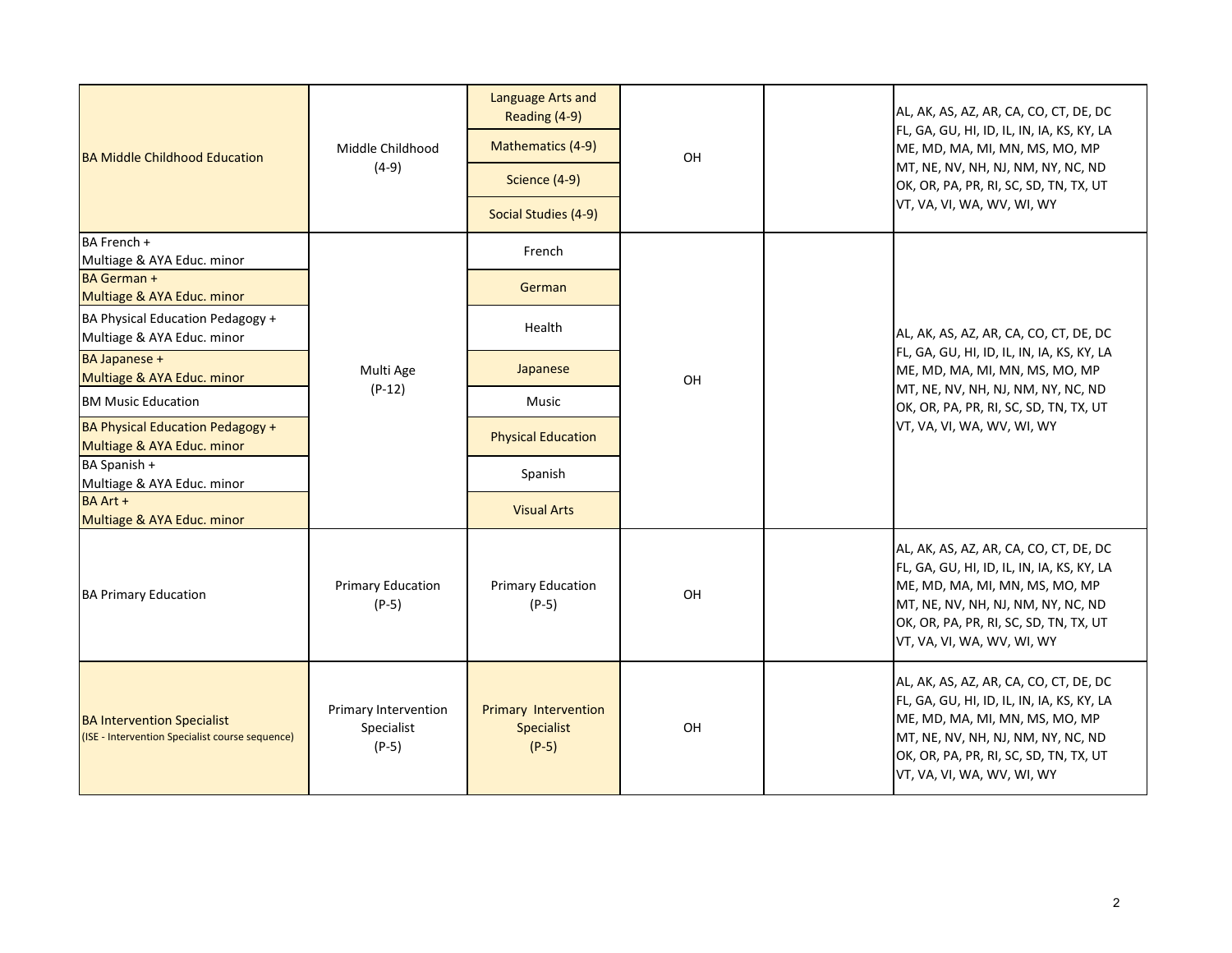| <b>BA Middle Childhood Education</b>                                                 | Middle Childhood<br>$(4-9)$                   | Language Arts and<br>Reading (4-9)<br>Mathematics (4-9) | OH | AL, AK, AS, AZ, AR, CA, CO, CT, DE, DC<br>FL, GA, GU, HI, ID, IL, IN, IA, KS, KY, LA<br>ME, MD, MA, MI, MN, MS, MO, MP<br>MT, NE, NV, NH, NJ, NM, NY, NC, ND<br>OK, OR, PA, PR, RI, SC, SD, TN, TX, UT<br>VT, VA, VI, WA, WV, WI, WY |
|--------------------------------------------------------------------------------------|-----------------------------------------------|---------------------------------------------------------|----|--------------------------------------------------------------------------------------------------------------------------------------------------------------------------------------------------------------------------------------|
|                                                                                      |                                               | Science (4-9)                                           |    |                                                                                                                                                                                                                                      |
|                                                                                      |                                               | Social Studies (4-9)                                    |    |                                                                                                                                                                                                                                      |
| BA French +<br>Multiage & AYA Educ. minor                                            | Multi Age<br>$(P-12)$                         | French                                                  | OH | AL, AK, AS, AZ, AR, CA, CO, CT, DE, DC<br>FL, GA, GU, HI, ID, IL, IN, IA, KS, KY, LA<br>ME, MD, MA, MI, MN, MS, MO, MP<br>MT, NE, NV, NH, NJ, NM, NY, NC, ND<br>OK, OR, PA, PR, RI, SC, SD, TN, TX, UT<br>VT, VA, VI, WA, WV, WI, WY |
| <b>BA German +</b><br>Multiage & AYA Educ. minor                                     |                                               | German                                                  |    |                                                                                                                                                                                                                                      |
| BA Physical Education Pedagogy +<br>Multiage & AYA Educ. minor                       |                                               | Health                                                  |    |                                                                                                                                                                                                                                      |
| <b>BA Japanese +</b><br>Multiage & AYA Educ. minor                                   |                                               | Japanese                                                |    |                                                                                                                                                                                                                                      |
| <b>BM Music Education</b>                                                            |                                               | Music                                                   |    |                                                                                                                                                                                                                                      |
| <b>BA Physical Education Pedagogy +</b><br>Multiage & AYA Educ. minor                |                                               | <b>Physical Education</b>                               |    |                                                                                                                                                                                                                                      |
| BA Spanish +<br>Multiage & AYA Educ. minor                                           |                                               | Spanish                                                 |    |                                                                                                                                                                                                                                      |
| <b>BA Art +</b><br>Multiage & AYA Educ. minor                                        |                                               | <b>Visual Arts</b>                                      |    |                                                                                                                                                                                                                                      |
| <b>BA Primary Education</b>                                                          | <b>Primary Education</b><br>$(P-5)$           | <b>Primary Education</b><br>$(P-5)$                     | OH | AL, AK, AS, AZ, AR, CA, CO, CT, DE, DC<br>FL, GA, GU, HI, ID, IL, IN, IA, KS, KY, LA<br>ME, MD, MA, MI, MN, MS, MO, MP<br>MT, NE, NV, NH, NJ, NM, NY, NC, ND<br>OK, OR, PA, PR, RI, SC, SD, TN, TX, UT<br>VT, VA, VI, WA, WV, WI, WY |
| <b>BA Intervention Specialist</b><br>(ISE - Intervention Specialist course sequence) | Primary Intervention<br>Specialist<br>$(P-5)$ | <b>Primary Intervention</b><br>Specialist<br>$(P-5)$    | OH | AL, AK, AS, AZ, AR, CA, CO, CT, DE, DC<br>FL, GA, GU, HI, ID, IL, IN, IA, KS, KY, LA<br>ME, MD, MA, MI, MN, MS, MO, MP<br>MT, NE, NV, NH, NJ, NM, NY, NC, ND<br>OK, OR, PA, PR, RI, SC, SD, TN, TX, UT<br>VT, VA, VI, WA, WV, WI, WY |